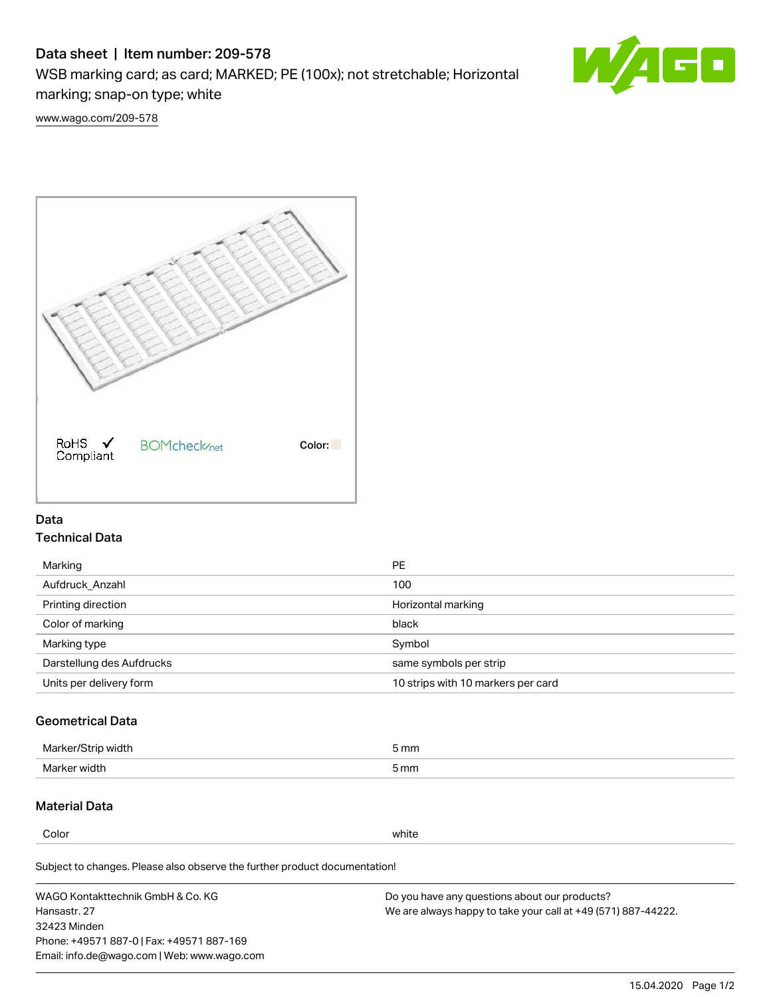# Data sheet | Item number: 209-578

WSB marking card; as card; MARKED; PE (100x); not stretchable; Horizontal marking; snap-on type; white



[www.wago.com/209-578](http://www.wago.com/209-578)



### Data Technical Data

| Marking                   | <b>PE</b>                          |
|---------------------------|------------------------------------|
| Aufdruck Anzahl           | 100                                |
| Printing direction        | Horizontal marking                 |
| Color of marking          | black                              |
| Marking type              | Symbol                             |
| Darstellung des Aufdrucks | same symbols per strip             |
| Units per delivery form   | 10 strips with 10 markers per card |

## Geometrical Data

| width        | i mm |
|--------------|------|
| Marker/      | -    |
| Marker width | 5 mm |

### Material Data

Color white

Subject to changes. Please also observe the further product documentation!

WAGO Kontakttechnik GmbH & Co. KG Hansastr. 27 32423 Minden Phone: +49571 887-0 | Fax: +49571 887-169 Email: info.de@wago.com | Web: www.wago.com Do you have any questions about our products? We are always happy to take your call at +49 (571) 887-44222.